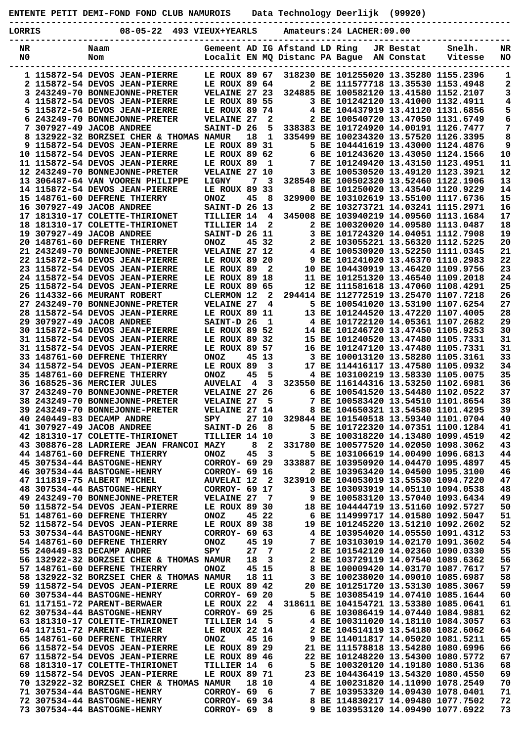**ENTENTE PETIT DEMI-FOND FOND CLUB NAMUROIS Data Technology Deerlijk (99920)**

|  | $08 - 05 - 22$ 493 VTEUX+VEARLS | $Amatically = 24$ $I.ACHER.09.00$ |  |
|--|---------------------------------|-----------------------------------|--|

| LORRIS         | $08 - 05 - 22$                                                           | 493 VIEUX+YEARLS                    |    |                         |                                | Amateurs: 24 LACHER: 09.00                                                   |            |                                        |           |
|----------------|--------------------------------------------------------------------------|-------------------------------------|----|-------------------------|--------------------------------|------------------------------------------------------------------------------|------------|----------------------------------------|-----------|
| NR             | Naam                                                                     |                                     |    |                         | Gemeent AD IG Afstand LD Ring  |                                                                              | JR Bestat  | Snelh.                                 | NR        |
| N <sub>0</sub> | Nom                                                                      |                                     |    |                         | Localit EN MQ Distanc PA Bague |                                                                              | AN Constat | Vitesse                                | NO        |
|                | 1 115872-54 DEVOS JEAN-PIERRE                                            | LE ROUX 89 67                       |    |                         |                                | 318230 BE 101255020 13.35280 1155.2396                                       |            |                                        | 1         |
|                | 2 115872-54 DEVOS JEAN-PIERRE                                            | LE ROUX 89 64                       |    |                         |                                | 2 BE 111577718 13.35530 1153.4948                                            |            |                                        | 2         |
|                | 3 243249-70 BONNEJONNE-PRETER                                            | VELAINE 27 23                       |    |                         |                                | 324885 BE 100582120 13.41580 1152.2107                                       |            |                                        | 3         |
|                | 4 115872-54 DEVOS JEAN-PIERRE<br>5 115872-54 DEVOS JEAN-PIERRE           | LE ROUX 89 55<br>LE ROUX 89 74      |    |                         |                                | 3 BE 101242120 13.41000 1132.4911<br>4 BE 104437919 13.41120 1131.6856       |            |                                        | 4<br>5    |
|                | 6 243249-70 BONNEJONNE-PRETER                                            | <b>VELAINE 27</b>                   |    | 2                       |                                | 2 BE 100540720 13.47050 1131.6749                                            |            |                                        | 6         |
|                | 7 307927-49 JACOB ANDREE                                                 | SAINT-D 26                          |    | 5                       |                                | 338383 BE 101724920 14.00191 1126.7477                                       |            |                                        | 7         |
|                | 8 132922-32 BORZSEI CHER & THOMAS NAMUR                                  |                                     | 18 | $\mathbf{1}$            |                                | 335499 BE 100234320 13.57520 1126.3395                                       |            |                                        | 8         |
|                | 9 115872-54 DEVOS JEAN-PIERRE<br>10 115872-54 DEVOS JEAN-PIERRE          | LE ROUX 89 31<br>LE ROUX 89 62      |    |                         |                                | 5 BE 104441619 13.43000 1124.4876<br>6 BE 101243620 13.43050 1124.1566       |            |                                        | 9<br>$10$ |
|                | 11 115872-54 DEVOS JEAN-PIERRE                                           | LE ROUX 89                          |    | 1                       |                                | 7 BE 101249420 13.43150 1123.4951                                            |            |                                        | 11        |
|                | 12 243249-70 BONNEJONNE-PRETER                                           | VELAINE 27 10                       |    |                         |                                | 3 BE 100530520 13.49120 1123.3921                                            |            |                                        | 12        |
|                | 13 306487-64 VAN VOOREN PHILIPPE                                         | LIGNY                               | 7  | $\overline{\mathbf{3}}$ |                                | 328540 BE 100502320 13.52460 1122.1906                                       |            |                                        | 13        |
|                | 14 115872-54 DEVOS JEAN-PIERRE<br>15 148761-60 DEFRENE THIERRY           | LE ROUX 89<br><b>ONOZ</b>           | 45 | -33<br>- 8              |                                | 8 BE 101250020 13.43540 1120.9229<br>329900 BE 103102619 13.55100 1117.6736  |            |                                        | 14<br>15  |
|                | 16 307927-49 JACOB ANDREE                                                | SAINT-D 26 13                       |    |                         |                                | 2 BE 103273721 14.03241 1115.2971                                            |            |                                        | 16        |
|                | 17 181310-17 COLETTE-THIRIONET                                           | TILLIER 14                          |    | 4                       |                                |                                                                              |            | 345008 BE 103940219 14.09560 1113.1684 | 17        |
|                | 18 181310-17 COLETTE-THIRIONET                                           | TILLIER 14                          |    | $\mathbf{2}$            |                                | 2 BE 100320020 14.09580 1113.0487                                            |            |                                        | 18        |
|                | 19 307927-49 JACOB ANDREE                                                | SAINT-D 26 11                       |    |                         |                                | 3 BE 101724320 14.04051 1112.7908                                            |            |                                        | 19        |
|                | 20 148761-60 DEFRENE THIERRY<br>21 243249-70 BONNEJONNE-PRETER           | <b>ONOZ</b><br><b>VELAINE 27 12</b> |    | 45 32                   |                                | 2 BE 103055221 13.56320 1112.5225<br>4 BE 100530920 13.52250 1111.0345       |            |                                        | 20<br>21  |
|                | 22 115872-54 DEVOS JEAN-PIERRE                                           | LE ROUX 89 20                       |    |                         |                                | 9 BE 101241020 13.46370 1110.2983                                            |            |                                        | 22        |
|                | 23 115872-54 DEVOS JEAN-PIERRE                                           | LE ROUX 89                          |    | 2                       |                                | 10 BE 104430919 13.46420 1109.9756                                           |            |                                        | 23        |
|                | 24 115872-54 DEVOS JEAN-PIERRE                                           | LE ROUX 89 18                       |    |                         |                                | 11 BE 101251320 13.46540 1109.2018                                           |            |                                        | 24        |
|                | 25 115872-54 DEVOS JEAN-PIERRE<br>26 114332-66 MEURANT ROBERT            | LE ROUX 89 65<br>CLERMON 12         |    | $\mathbf{2}$            |                                | 12 BE 111581618 13.47060 1108.4291<br>294414 BE 112772519 13.25470 1107.7218 |            |                                        | 25<br>26  |
|                | 27 243249-70 BONNEJONNE-PRETER                                           | <b>VELAINE 27</b>                   |    | 4                       |                                | 5 BE 100541020 13.53190 1107.6254                                            |            |                                        | 27        |
|                | 28 115872-54 DEVOS JEAN-PIERRE                                           | LE ROUX 89 11                       |    |                         |                                | 13 BE 101244520 13.47220 1107.4005                                           |            |                                        | 28        |
|                | 29 307927-49 JACOB ANDREE                                                | SAINT-D 26                          |    | 1                       |                                |                                                                              |            | 4 BE 101722120 14.05361 1107.2682      | 29        |
|                | 30 115872-54 DEVOS JEAN-PIERRE                                           | LE ROUX 89 52                       |    |                         |                                | 14 BE 101246720 13.47450 1105.9253                                           |            |                                        | 30        |
|                | 31 115872-54 DEVOS JEAN-PIERRE<br>31 115872-54 DEVOS JEAN-PIERRE         | LE ROUX 89 32<br>LE ROUX 89 57      |    |                         |                                | 15 BE 101240520 13.47480 1105.7331<br>16 BE 101247120 13.47480 1105.7331     |            |                                        | 31<br>31  |
|                | 33 148761-60 DEFRENE THIERRY                                             | <b>ONOZ</b>                         |    | 45 13                   |                                | 3 BE 100013120 13.58280 1105.3161                                            |            |                                        | 33        |
|                | 34 115872-54 DEVOS JEAN-PIERRE                                           | LE ROUX 89                          |    | 3                       |                                | 17 BE 114416117 13.47580 1105.0932                                           |            |                                        | 34        |
|                | 35 148761-60 DEFRENE THIERRY                                             | <b>ONOZ</b>                         | 45 | 5                       |                                | 4 BE 103100219 13.58330 1105.0075                                            |            |                                        | 35        |
|                | 36 168525-36 MERCIER JULES<br>37 243249-70 BONNEJONNE-PRETER             | <b>AUVELAI</b><br>VELAINE 27 26     | -4 | $\overline{\mathbf{3}}$ |                                | 323550 BE 116144316 13.53250 1102.6981<br>6 BE 100541520 13.54480 1102.0522  |            |                                        | 36<br>37  |
|                | 38 243249-70 BONNEJONNE-PRETER                                           | <b>VELAINE 27</b>                   |    | 5                       |                                | 7 BE 100583420 13.54510 1101.8654                                            |            |                                        | 38        |
|                | 39 243249-70 BONNEJONNE-PRETER                                           | VELAINE 27 14                       |    |                         |                                | 8 BE 104650321 13.54580 1101.4295                                            |            |                                        | 39        |
|                | 40 240449-83 DECAMP ANDRE                                                | SPY                                 |    | 27 10                   |                                |                                                                              |            | 329844 BE 101540518 13.59340 1101.0704 | 40        |
|                | 41 307927-49 JACOB ANDREE<br>42 181310-17 COLETTE-THIRIONET              | SAINT-D 26<br>TILLIER 14 10         |    | - 8                     |                                | 5 BE 101722320 14.07351 1100.1284<br>3 BE 100318220 14.13480 1099.4519       |            |                                        | 41<br>42  |
|                | 43 308876-28 LADRIERE JEAN FRANCOI MAZY                                  |                                     | 8  | $\mathbf{2}$            |                                |                                                                              |            | 331780 BE 100577520 14.02050 1098.3062 | 43        |
|                | 44 148761-60 DEFRENE THIERRY                                             | <b>ONOZ</b>                         | 45 | 3                       |                                | 5 BE 103106619 14.00490 1096.6813                                            |            |                                        | 44        |
|                | 45 307534-44 BASTOGNE-HENRY                                              | CORROY- 69 29                       |    |                         |                                | 333887 BE 103950920 14.04470 1095.4897                                       |            |                                        | 45        |
|                | 46 307534-44 BASTOGNE-HENRY<br>47 111819-75 ALBERT MICHEL                | CORROY- 69 16<br><b>AUVELAI 12</b>  |    | $\mathbf{2}$            |                                | 2 BE 103963420 14.04500 1095.3100<br>323910 BE 104053019 13.55530 1094.7220  |            |                                        | 46<br>47  |
|                | 48 307534-44 BASTOGNE-HENRY                                              | CORROY- 69 17                       |    |                         |                                | 3 BE 103093919 14.05110 1094.0538                                            |            |                                        | 48        |
|                | 49 243249-70 BONNEJONNE-PRETER                                           | <b>VELAINE 27</b>                   |    | - 7                     |                                |                                                                              |            | 9 BE 100583120 13.57040 1093.6434      | 49        |
|                | 50 115872-54 DEVOS JEAN-PIERRE                                           | LE ROUX 89 30                       |    |                         |                                | 18 BE 104444719 13.51160 1092.5727                                           |            |                                        | 50        |
|                | 51 148761-60 DEFRENE THIERRY<br>52 115872-54 DEVOS JEAN-PIERRE           | <b>ONOZ</b><br>LE ROUX 89 38        |    | 45 22                   |                                | 6 BE 114999717 14.01580 1092.5047                                            |            | 19 BE 101245220 13.51210 1092.2602     | 51<br>52  |
|                | 53 307534-44 BASTOGNE-HENRY                                              | CORROY- 69 63                       |    |                         |                                |                                                                              |            | 4 BE 103954020 14.05550 1091.4312      | 53        |
|                | 54 148761-60 DEFRENE THIERRY                                             | <b>ONOZ</b>                         |    | 45 19                   | 7                              | BE 103103019 14.02170 1091.3602                                              |            |                                        | 54        |
|                | 55 240449-83 DECAMP ANDRE                                                | SPY                                 | 27 | -7                      |                                | 2 BE 101542120 14.02360 1090.0330                                            |            |                                        | 55        |
|                | 56 132922-32 BORZSEI CHER & THOMAS NAMUR<br>57 148761-60 DEFRENE THIERRY | <b>ONOZ</b>                         | 18 | 3<br>45 15              |                                | 8 BE 100009420 14.03170 1087.7617                                            |            | 2 BE 103729119 14.07540 1089.6362      | 56<br>57  |
|                | 58 132922-32 BORZSEI CHER & THOMAS NAMUR                                 |                                     |    | 18 11                   |                                | 3 BE 100238020 14.09010 1085.6987                                            |            |                                        | 58        |
|                | 59 115872-54 DEVOS JEAN-PIERRE                                           | LE ROUX 89 42                       |    |                         |                                | 20 BE 101251720 13.53130 1085.3067                                           |            |                                        | 59        |
|                | 60 307534-44 BASTOGNE-HENRY                                              | CORROY- 69 20                       |    |                         |                                |                                                                              |            | 5 BE 103085419 14.07410 1085.1644      | 60        |
|                | 61 117151-72 PARENT-BERWAER                                              | LE ROUX 22                          |    | - 4                     |                                | 318611 BE 104154721 13.53380 1085.0641                                       |            |                                        | 61        |
|                | 62 307534-44 BASTOGNE-HENRY<br>63 181310-17 COLETTE-THIRIONET            | CORROY- 69 25<br><b>TILLIER 14</b>  |    | - 5                     |                                | 6 BE 103086419 14.07440 1084.9881<br>4 BE 100311020 14.18110 1084.3057       |            |                                        | 62<br>63  |
|                | 64 117151-72 PARENT-BERWAER                                              | LE ROUX 22 14                       |    |                         |                                |                                                                              |            | 2 BE 104514119 13.54180 1082.6062      | 64        |
|                | 65 148761-60 DEFRENE THIERRY                                             | <b>ONOZ</b>                         |    | 45 16                   |                                | 9 BE 114011817 14.05020 1081.5211                                            |            |                                        | 65        |
|                | 66 115872-54 DEVOS JEAN-PIERRE                                           | LE ROUX 89 29                       |    |                         |                                | 21 BE 111578818 13.54280 1080.6996                                           |            |                                        | 66        |
|                | 67 115872-54 DEVOS JEAN-PIERRE<br>68 181310-17 COLETTE-THIRIONET         | LE ROUX 89 46<br><b>TILLIER 14</b>  |    | - 6                     |                                | 22 BE 101248220 13.54300 1080.5772<br>5 BE 100320120 14.19180 1080.5136      |            |                                        | 67<br>68  |
|                | 69 115872-54 DEVOS JEAN-PIERRE                                           | LE ROUX 89 71                       |    |                         |                                | 23 BE 104436419 13.54320 1080.4550                                           |            |                                        | 69        |
|                | 70 132922-32 BORZSEI CHER & THOMAS NAMUR                                 |                                     |    | 18 10                   |                                | 4 BE 100231820 14.11090 1078.2549                                            |            |                                        | 70        |
|                | 71 307534-44 BASTOGNE-HENRY                                              | CORROY- 69                          |    | 6                       |                                | 7 BE 103953320 14.09430 1078.0401                                            |            |                                        | 71        |
|                | 72 307534-44 BASTOGNE-HENRY<br>73 307534-44 BASTOGNE-HENRY               | CORROY- 69 34<br>CORROY- 69         |    | 8                       |                                | 9 BE 103953120 14.09490 1077.6922                                            |            | 8 BE 114830217 14.09480 1077.7502      | 72<br>73  |
|                |                                                                          |                                     |    |                         |                                |                                                                              |            |                                        |           |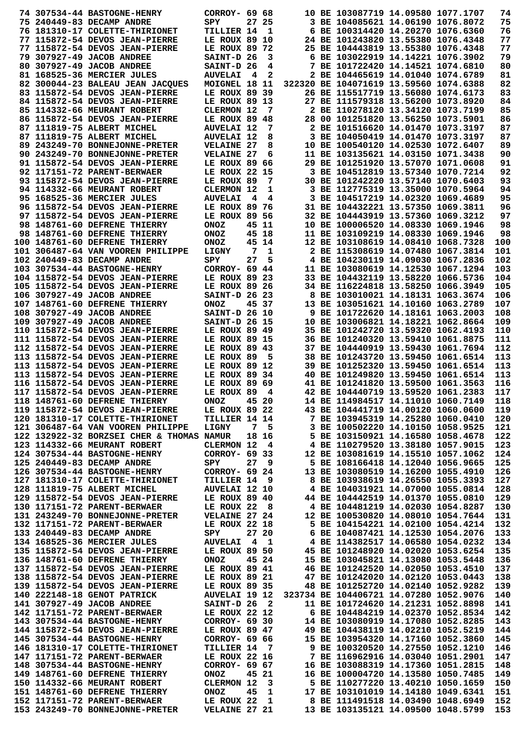|  | 74 307534-44 BASTOGNE-HENRY                                                                                                                                                | CORROY- 69 68                    |     |                 |                                    | 10 BE 103087719 14.09580 1077.1707                                                                            |  | 74  |
|--|----------------------------------------------------------------------------------------------------------------------------------------------------------------------------|----------------------------------|-----|-----------------|------------------------------------|---------------------------------------------------------------------------------------------------------------|--|-----|
|  | 75 240449-83 DECAMP ANDRE                                                                                                                                                  | SPY                              |     | 27 25           |                                    | 3 BE 104085621 14.06190 1076.8072                                                                             |  | 75  |
|  | 76 181310-17 COLETTE-THIRIONET                                                                                                                                             | TILLIER 14                       |     | - 1             |                                    | 6 BE 100314420 14.20270 1076.6360                                                                             |  | 76  |
|  | 77 115872-54 DEVOS JEAN-PIERRE                                                                                                                                             | LE ROUX 89 10                    |     |                 |                                    | 24 BE 101243820 13.55380 1076.4348                                                                            |  | 77  |
|  | 77 115872-54 DEVOS JEAN-PIERRE                                                                                                                                             |                                  |     |                 |                                    |                                                                                                               |  | 77  |
|  |                                                                                                                                                                            | LE ROUX 89 72                    |     |                 |                                    | 25 BE 104443819 13.55380 1076.4348                                                                            |  |     |
|  | 79 307927-49 JACOB ANDREE                                                                                                                                                  | SAINT-D 26                       |     | 3               |                                    | 6 BE 103022919 14.14221 1076.3902                                                                             |  | 79  |
|  | 80 307927-49 JACOB ANDREE                                                                                                                                                  | SAINT-D 26                       |     | 4               |                                    | 7 BE 101722420 14.14521 1074.6810                                                                             |  | 80  |
|  | 81 168525-36 MERCIER JULES                                                                                                                                                 | <b>AUVELAI</b>                   | - 4 | 2               |                                    | 2 BE 104465619 14.01040 1074.6789                                                                             |  | 81  |
|  | 82 300044-23 BALEAU JEAN JACQUES                                                                                                                                           | MOIGNEL 18 11                    |     |                 |                                    | 322320 BE 104071619 13.59560 1074.6388                                                                        |  | 82  |
|  | 83 115872-54 DEVOS JEAN-PIERRE                                                                                                                                             | LE ROUX 89 39                    |     |                 |                                    | 26 BE 115517719 13.56080 1074.6173                                                                            |  | 83  |
|  | 84 115872-54 DEVOS JEAN-PIERRE                                                                                                                                             | LE ROUX 89 13                    |     |                 |                                    | 27 BE 111579318 13.56200 1073.8920                                                                            |  | 84  |
|  | 85 114332-66 MEURANT ROBERT                                                                                                                                                | CLERMON 12                       |     | 7               |                                    | 2 BE 110278120 13.34120 1073.7199                                                                             |  | 85  |
|  | 86 115872-54 DEVOS JEAN-PIERRE                                                                                                                                             | LE ROUX 89 48                    |     |                 |                                    | 28 00 101251820 13.56250 1073.5901                                                                            |  | 86  |
|  | 87 111819-75 ALBERT MICHEL                                                                                                                                                 | <b>AUVELAI 12</b>                |     | 7               |                                    | 2 BE 101516620 14.01470 1073.3197                                                                             |  | 87  |
|  | 87 111819-75 ALBERT MICHEL                                                                                                                                                 | <b>AUVELAI 12</b>                |     | 8               |                                    | 3 BE 104050419 14.01470 1073.3197                                                                             |  | 87  |
|  | 89 243249-70 BONNEJONNE-PRETER                                                                                                                                             | <b>VELAINE 27</b>                |     | 8               |                                    | 10 BE 100540120 14.02530 1072.6407                                                                            |  | 89  |
|  | 90 243249-70 BONNEJONNE-PRETER                                                                                                                                             | <b>VELAINE 27</b>                |     | 6               |                                    | 11 BE 103135621 14.03150 1071.3438                                                                            |  | 90  |
|  |                                                                                                                                                                            | LE ROUX 89 66                    |     |                 |                                    | 29 BE 101251920 13.57070 1071.0608                                                                            |  | 91  |
|  | 91 115872-54 DEVOS JEAN-PIERRE                                                                                                                                             |                                  |     |                 |                                    |                                                                                                               |  |     |
|  | 92 117151-72 PARENT-BERWAER                                                                                                                                                | LE ROUX 22 15                    |     |                 |                                    | 3 BE 104512819 13.57340 1070.7214                                                                             |  | 92  |
|  | 93 115872-54 DEVOS JEAN-PIERRE                                                                                                                                             | LE ROUX 89                       |     | 7               |                                    | 30 BE 101242220 13.57140 1070.6403                                                                            |  | 93  |
|  | 94 114332-66 MEURANT ROBERT                                                                                                                                                | CLERMON 12                       |     | 1               |                                    | 3 BE 112775319 13.35000 1070.5964                                                                             |  | 94  |
|  | 95 168525-36 MERCIER JULES                                                                                                                                                 | <b>AUVELAI</b>                   | 4   | 4               |                                    | 3 BE 104517219 14.02320 1069.4689                                                                             |  | 95  |
|  | 96 115872-54 DEVOS JEAN-PIERRE                                                                                                                                             | LE ROUX 89 76                    |     |                 |                                    | 31 BE 104432221 13.57350 1069.3811                                                                            |  | 96  |
|  | 97 115872-54 DEVOS JEAN-PIERRE                                                                                                                                             | LE ROUX 89 56                    |     |                 |                                    | 32 BE 104443919 13.57360 1069.3212                                                                            |  | 97  |
|  | 98 148761-60 DEFRENE THIERRY                                                                                                                                               | <b>ONOZ</b>                      |     | 45 11           |                                    | 10 BE 100006520 14.08330 1069.1946                                                                            |  | 98  |
|  | 98 148761-60 DEFRENE THIERRY                                                                                                                                               | <b>ONOZ</b>                      |     | 45 18           |                                    | 11 BE 103109219 14.08330 1069.1946                                                                            |  | 98  |
|  | 100 148761-60 DEFRENE THIERRY                                                                                                                                              | <b>ONOZ</b>                      |     | 45 14           |                                    | 12 BE 103108619 14.08410 1068.7328                                                                            |  | 100 |
|  | 101 306487-64 VAN VOOREN PHILIPPE                                                                                                                                          | LIGNY                            | 7   | 1               |                                    | 2 BE 115308619 14.07480 1067.3814                                                                             |  | 101 |
|  | 102 240449-83 DECAMP ANDRE                                                                                                                                                 | SPY                              | 27  | 5               |                                    | 4 BE 104230119 14.09030 1067.2836                                                                             |  | 102 |
|  | 103 307534-44 BASTOGNE-HENRY                                                                                                                                               | CORROY- 69 44                    |     |                 |                                    | 11 BE 103080619 14.12530 1067.1294                                                                            |  | 103 |
|  |                                                                                                                                                                            |                                  |     |                 |                                    | 33 BE 104432119 13.58220 1066.5736                                                                            |  | 104 |
|  | 104 115872-54 DEVOS JEAN-PIERRE                                                                                                                                            | LE ROUX 89 23                    |     |                 |                                    |                                                                                                               |  |     |
|  | 105 115872-54 DEVOS JEAN-PIERRE                                                                                                                                            | LE ROUX 89 26                    |     |                 |                                    | 34 BE 116224818 13.58250 1066.3949                                                                            |  | 105 |
|  | 106 307927-49 JACOB ANDREE                                                                                                                                                 | SAINT-D 26 23                    |     |                 |                                    | 8 BE 103010021 14.18131 1063.3674                                                                             |  | 106 |
|  | 107 148761-60 DEFRENE THIERRY                                                                                                                                              | <b>ONOZ</b>                      |     | 45 37           |                                    | 13 BE 103051621 14.10160 1063.2789                                                                            |  | 107 |
|  | 108 307927-49 JACOB ANDREE                                                                                                                                                 | SAINT-D 26 10                    |     |                 |                                    | 9 BE 101722620 14.18161 1063.2003                                                                             |  | 108 |
|  | 109 307927-49 JACOB ANDREE                                                                                                                                                 | SAINT-D 26 15                    |     |                 |                                    | 10 BE 103006821 14.18221 1062.8664                                                                            |  | 109 |
|  | 110 115872-54 DEVOS JEAN-PIERRE                                                                                                                                            | LE ROUX 89 49                    |     |                 |                                    | 35 BE 101242720 13.59320 1062.4193                                                                            |  | 110 |
|  | 111 115872-54 DEVOS JEAN-PIERRE                                                                                                                                            | LE ROUX 89 15                    |     |                 |                                    | 36 BE 101240320 13.59410 1061.8875                                                                            |  | 111 |
|  | 112 115872-54 DEVOS JEAN-PIERRE                                                                                                                                            | LE ROUX 89 43                    |     |                 |                                    | 37 BE 104440919 13.59430 1061.7694                                                                            |  | 112 |
|  | 113 115872-54 DEVOS JEAN-PIERRE                                                                                                                                            | LE ROUX 89                       |     | 5               |                                    | 38 BE 101243720 13.59450 1061.6514                                                                            |  | 113 |
|  | 113 115872-54 DEVOS JEAN-PIERRE                                                                                                                                            | LE ROUX 89 12                    |     |                 |                                    | 39 BE 101252320 13.59450 1061.6514                                                                            |  | 113 |
|  | 113 115872-54 DEVOS JEAN-PIERRE                                                                                                                                            | LE ROUX 89 34                    |     |                 |                                    | 40 BE 101249820 13.59450 1061.6514                                                                            |  | 113 |
|  | 116 115872-54 DEVOS JEAN-PIERRE                                                                                                                                            | LE ROUX 89 69                    |     |                 |                                    | 41 BE 101241820 13.59500 1061.3563                                                                            |  | 116 |
|  | 117 115872-54 DEVOS JEAN-PIERRE                                                                                                                                            | LE ROUX 89                       |     | 4               |                                    | 42 BE 104440719 13.59520 1061.2383                                                                            |  | 117 |
|  | 118 148761-60 DEFRENE THIERRY                                                                                                                                              | ONOZ 45 20                       |     |                 |                                    | 14 BE 114984517 14.11010 1060.7149                                                                            |  | 118 |
|  | 119 115872-54 DEVOS JEAN-PIERRE                                                                                                                                            |                                  |     |                 |                                    | 43 BE 104441719 14.00120 1060.0600                                                                            |  |     |
|  | 120 181310-17 COLETTE-THIRIONET                                                                                                                                            | LE ROUX 89 22<br>TILLIER 14 14   |     |                 |                                    |                                                                                                               |  | 119 |
|  |                                                                                                                                                                            |                                  |     |                 |                                    | 7 BE 103945319 14.25280 1060.0410                                                                             |  | 120 |
|  | 121 306487-64 VAN VOOREN PHILIPPE                                                                                                                                          | <b>LIGNY</b>                     |     | 7 5             |                                    | 3 BE 100502220 14.10150 1058.9525                                                                             |  | 121 |
|  | 122 132922-32 BORZSEI CHER & THOMAS NAMUR                                                                                                                                  |                                  |     | 18 16           |                                    | 5 BE 103150921 14.16580 1058.4678                                                                             |  | 122 |
|  | 123 114332-66 MEURANT ROBERT                                                                                                                                               | CLERMON 12 4                     |     |                 |                                    | 4 BE 110279520 13.38180 1057.9015                                                                             |  | 123 |
|  | 124 307534-44 BASTOGNE-HENRY                                                                                                                                               | CORROY- 69 33                    |     |                 |                                    | 12 BE 103081619 14.15510 1057.1062                                                                            |  | 124 |
|  | 125 240449-83 DECAMP ANDRE                                                                                                                                                 | SPY                              |     | 27 <sub>9</sub> |                                    | 5 BE 108166418 14.12040 1056.9665                                                                             |  | 125 |
|  | 126 307534-44 BASTOGNE-HENRY                                                                                                                                               | CORROY- 69 24                    |     |                 |                                    | 13 BE 103080519 14.16200 1055.4910                                                                            |  | 126 |
|  | 127 181310-17 COLETTE-THIRIUNEI<br>128 111819-75 ALBERT MICHEL AUVELAI 12 10<br>129 115872-54 DEVOS JEAN-PIERRE LE ROUX 89 40<br>129 117151-72 PARENT-BERWAER LE ROUX 22 8 | TILLIER 14 9                     |     |                 |                                    | 8 BE 103938619 14.26550 1055.3393                                                                             |  | 127 |
|  |                                                                                                                                                                            |                                  |     |                 |                                    | 4 BE 104031921 14.07000 1055.0814                                                                             |  | 128 |
|  |                                                                                                                                                                            |                                  |     |                 |                                    | 44 BE 104442519 14.01370 1055.0810                                                                            |  | 129 |
|  |                                                                                                                                                                            |                                  |     |                 |                                    | 4 BE 104481219 14.02030 1054.8287                                                                             |  | 130 |
|  | 131 243249-70 BONNEJONNE-PRETER VELAINE 27 24                                                                                                                              |                                  |     |                 |                                    | 12 BE 100530820 14.08010 1054.7644                                                                            |  | 131 |
|  | 132 117151-72 PARENT-BERWAER                                                                                                                                               | LE ROUX 22 18                    |     |                 |                                    | 5 BE 104154221 14.02100 1054.4214                                                                             |  | 132 |
|  | 133 240449-83 DECAMP ANDRE                                                                                                                                                 | SPY                              |     | 27 20           |                                    | 6 BE 104087421 14.12530 1054.2076                                                                             |  | 133 |
|  |                                                                                                                                                                            |                                  |     |                 |                                    | 4 BE 114382517 14.06580 1054.0232                                                                             |  | 134 |
|  | 134 168525-36 MERCIER JULES AUVELAI 4 1<br>135 115872-54 DEVOS JEAN-PIERRE                                                                                                 |                                  |     |                 |                                    |                                                                                                               |  | 135 |
|  |                                                                                                                                                                            | LE ROUX 89 50                    |     |                 |                                    | 45 BE 101248920 14.02020 1053.6254<br>15 BE 103045821 14.13080 1053.5448                                      |  |     |
|  | 136 148761-60 DEFRENE THIERRY                                                                                                                                              | ONOZ                             |     | 45 24           |                                    | 15 BE 103045821 14.13080 1053.5448                                                                            |  | 136 |
|  | 137 115872-54 DEVOS JEAN-PIERRE                                                                                                                                            | LE ROUX 89 41                    |     |                 |                                    | 46 BE 101242520 14.02050 1053.4510                                                                            |  | 137 |
|  | 138 115872-54 DEVOS JEAN-PIERRE                                                                                                                                            | LE ROUX 89 21                    |     |                 |                                    | 47 BE 101242020 14.02120 1053.0443                                                                            |  | 138 |
|  | 139 115872-54 DEVOS JEAN-PIERRE                                                                                                                                            | LE ROUX 89 35                    |     |                 |                                    | 48 BE 101252720 14.02140 1052.9282                                                                            |  | 139 |
|  | 140 222148-18 GENOT PATRICK                                                                                                                                                | <b>AUVELAI 19 12</b>             |     |                 |                                    | 323734 BE 104406721 14.07280 1052.9076                                                                        |  | 140 |
|  | 141 307927-49 JACOB ANDREE<br>142 117151-72 PARENT-BERWAER                                                                                                                 | <b>SAINT-D 26 2</b>              |     |                 |                                    | 11 BE 101724620 14.21231 1052.8898                                                                            |  | 141 |
|  |                                                                                                                                                                            | LE ROUX 22 12                    |     |                 |                                    | 6 BE 104484219 14.02370 1052.8534                                                                             |  | 142 |
|  | 143 307534-44 BASTOGNE-HENRY CORROY- 69 30                                                                                                                                 |                                  |     |                 | 14 BE 103080919 14.17080 1052.8285 |                                                                                                               |  | 143 |
|  | 144 115872-54 DEVOS JEAN-PIERRE                                                                                                                                            | LE ROUX 89 $47$                  |     |                 |                                    | 49 BE 104438119 14.02210 1052.5219                                                                            |  | 144 |
|  | 145 307534-44 BASTOGNE-HENRY                                                                                                                                               | CORROY- 69 66                    |     |                 |                                    | 15 BE 103954320 14.17160 1052.3860                                                                            |  | 145 |
|  | 146 181310-17 COLETTE-THIRIONET                                                                                                                                            | TILLIER 14 7                     |     |                 |                                    | 9 BE 100320520 14.27550 1052.1210                                                                             |  | 146 |
|  | 147 117151-72 PARENT-BERWAER                                                                                                                                               | LE ROUX 22 16                    |     |                 |                                    |                                                                                                               |  | 147 |
|  | 148 307534-44 BASTOGNE-HENRY                                                                                                                                               | CORROY- 69 67                    |     |                 |                                    | 7 BE 116962916 14.03040 1051.2901<br>16 BE 103088216 14.03040 1051.2901<br>16 BE 103088319 14.17360 1051.2815 |  | 148 |
|  | 149 148761-60 DEFRENE THIERRY                                                                                                                                              | <b>ONOZ</b>                      |     | 45 21           |                                    | 16 BE 100004720 14.13580 1050.7485                                                                            |  | 149 |
|  | 150 114332-66 MEURANT ROBERT                                                                                                                                               |                                  |     |                 |                                    |                                                                                                               |  | 150 |
|  | 151 148761-60 DEFRENE THIERRY                                                                                                                                              | <b>CLERMON 12</b><br><b>ONOZ</b> |     | $_{3}$<br>45 1  |                                    | 5 BE 110277220 13.40210 1050.1659<br>17 BE 103101019 14.14180 1049.6341                                       |  | 151 |
|  |                                                                                                                                                                            |                                  |     |                 |                                    |                                                                                                               |  |     |
|  | 152 117151-72 PARENT-BERWAER                                                                                                                                               | LE ROUX 22 1                     |     |                 |                                    | 8 BE 111491518 14.03490 1048.6949                                                                             |  | 152 |
|  | 153 243249-70 BONNEJONNE-PRETER VELAINE 27 21                                                                                                                              |                                  |     |                 |                                    | 13 BE 103135121 14.09500 1048.5799                                                                            |  | 153 |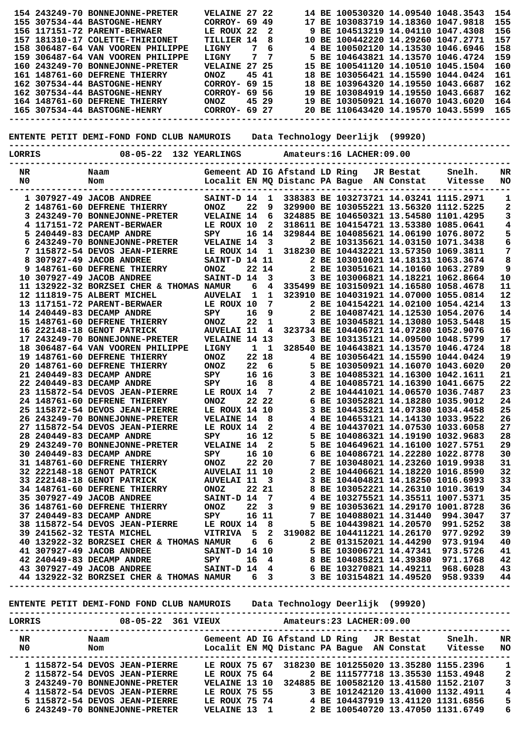|                                                                                                                                                  |  | 154 243249-70 BONNEJONNE-PRETER                                                                                                                                                                                                              | <b>VELAINE 27 22</b> |              |                         |                               |  | 14 BE 100530320 14.09540 1048.3543        |           |         | 154                     |
|--------------------------------------------------------------------------------------------------------------------------------------------------|--|----------------------------------------------------------------------------------------------------------------------------------------------------------------------------------------------------------------------------------------------|----------------------|--------------|-------------------------|-------------------------------|--|-------------------------------------------|-----------|---------|-------------------------|
|                                                                                                                                                  |  | 155 307534-44 BASTOGNE-HENRY                                                                                                                                                                                                                 | CORROY- 69 49        |              |                         |                               |  | 17 BE 103083719 14.18360 1047.9818        |           |         | 155                     |
|                                                                                                                                                  |  | 156 117151-72 PARENT-BERWAER                                                                                                                                                                                                                 | LE ROUX 22           |              | 2                       |                               |  | 9 BE 104513219 14.04110 1047.4308         |           |         | 156                     |
|                                                                                                                                                  |  | 157 181310-17 COLETTE-THIRIONET                                                                                                                                                                                                              | TILLIER 14           |              | 8                       |                               |  | 10 BE 100442220 14.29260 1047.2771        |           |         | 157                     |
|                                                                                                                                                  |  | 158 306487-64 VAN VOOREN PHILIPPE                                                                                                                                                                                                            | LIGNY                | 7            | 6                       |                               |  | 4 BE 100502120 14.13530 1046.6946         |           |         | 158                     |
|                                                                                                                                                  |  | 159 306487-64 VAN VOOREN PHILIPPE                                                                                                                                                                                                            | LIGNY                | 7            | 7                       | 5.                            |  | BE 104643821 14.13570 1046.4724           |           |         | 159                     |
|                                                                                                                                                  |  | 160 243249-70 BONNEJONNE-PRETER                                                                                                                                                                                                              | VELAINE 27 25        |              |                         |                               |  | 15 BE 100541120 14.10510 1045.1504        |           |         | 160                     |
|                                                                                                                                                  |  |                                                                                                                                                                                                                                              |                      |              |                         |                               |  |                                           |           |         |                         |
|                                                                                                                                                  |  | 161 148761-60 DEFRENE THIERRY                                                                                                                                                                                                                | <b>ONOZ</b>          | 45 41        |                         |                               |  | 18 BE 103056421 14.15590 1044.0424        |           |         | 161                     |
|                                                                                                                                                  |  | 162 307534-44 BASTOGNE-HENRY                                                                                                                                                                                                                 | CORROY- 69 15        |              |                         |                               |  | 18 BE 103964320 14.19550 1043.6687        |           |         | 162                     |
|                                                                                                                                                  |  | 162 307534-44 BASTOGNE-HENRY                                                                                                                                                                                                                 | CORROY- 69 56        |              |                         |                               |  | 19 BE 103084919 14.19550 1043.6687        |           |         | 162                     |
|                                                                                                                                                  |  | 164 148761-60 DEFRENE THIERRY                                                                                                                                                                                                                | <b>ONOZ</b>          |              | 45 29                   |                               |  | 19 BE 103050921 14.16070 1043.6020        |           |         | 164                     |
|                                                                                                                                                  |  | 165 307534-44 BASTOGNE-HENRY                                                                                                                                                                                                                 | CORROY- 69 27        |              |                         |                               |  | 20 BE 110643420 14.19570 1043.5599        |           |         | 165                     |
| Data Technology Deerlijk (99920)<br>ENTENTE PETIT DEMI-FOND FOND CLUB NAMUROIS<br>08-05-22 132 YEARLINGS<br>LORRIS<br>Amateurs: 16 LACHER: 09.00 |  |                                                                                                                                                                                                                                              |                      |              |                         |                               |  |                                           |           |         |                         |
|                                                                                                                                                  |  |                                                                                                                                                                                                                                              |                      |              |                         |                               |  |                                           |           |         |                         |
| NR                                                                                                                                               |  | Naam                                                                                                                                                                                                                                         |                      |              |                         | Gemeent AD IG Afstand LD Ring |  |                                           | JR Bestat | Snelh.  | NR                      |
| N <sub>0</sub>                                                                                                                                   |  | Nom                                                                                                                                                                                                                                          |                      |              |                         |                               |  | Localit EN MQ Distanc PA Bague AN Constat |           | Vitesse | NO                      |
|                                                                                                                                                  |  |                                                                                                                                                                                                                                              |                      |              |                         |                               |  |                                           |           |         |                         |
|                                                                                                                                                  |  | 1 307927-49 JACOB ANDREE                                                                                                                                                                                                                     | SAINT-D 14           |              | 1                       |                               |  | 338383 BE 103273721 14.03241 1115.2971    |           |         | 1                       |
|                                                                                                                                                  |  | 2 148761-60 DEFRENE THIERRY                                                                                                                                                                                                                  | <b>ONOZ</b>          | 22           | 9                       |                               |  | 329900 BE 103055221 13.56320 1112.5225    |           |         | 2                       |
|                                                                                                                                                  |  | 3 243249-70 BONNEJONNE-PRETER                                                                                                                                                                                                                | <b>VELAINE 14</b>    |              | 6                       |                               |  | 324885 BE 104650321 13.54580 1101.4295    |           |         | 3                       |
|                                                                                                                                                  |  | 4 117151-72 PARENT-BERWAER                                                                                                                                                                                                                   | LE ROUX 10           |              | $\mathbf{2}$            |                               |  | 318611 BE 104154721 13.53380 1085.0641    |           |         | 4                       |
|                                                                                                                                                  |  |                                                                                                                                                                                                                                              |                      |              |                         |                               |  |                                           |           |         |                         |
|                                                                                                                                                  |  | 5 240449-83 DECAMP ANDRE                                                                                                                                                                                                                     | SPY                  |              | 16 14                   |                               |  | 329844 BE 104085621 14.06190 1076.8072    |           |         | 5                       |
|                                                                                                                                                  |  | 6 243249-70 BONNEJONNE-PRETER                                                                                                                                                                                                                | <b>VELAINE 14</b>    |              | $\overline{\mathbf{3}}$ |                               |  | 2 BE 103135621 14.03150 1071.3438         |           |         | 6                       |
|                                                                                                                                                  |  | 7 115872-54 DEVOS JEAN-PIERRE                                                                                                                                                                                                                | LE ROUX 14           |              | 1                       |                               |  | 318230 BE 104432221 13.57350 1069.3811    |           |         | 7                       |
|                                                                                                                                                  |  | 8 307927-49 JACOB ANDREE                                                                                                                                                                                                                     | SAINT-D 14 11        |              |                         |                               |  | 2 BE 103010021 14.18131 1063.3674         |           |         | 8                       |
|                                                                                                                                                  |  | 9 148761-60 DEFRENE THIERRY                                                                                                                                                                                                                  | <b>ONOZ</b>          |              | 22 14                   |                               |  | 2 BE 103051621 14.10160 1063.2789         |           |         | 9                       |
|                                                                                                                                                  |  | 10 307927-49 JACOB ANDREE                                                                                                                                                                                                                    | SAINT-D 14           |              | $\mathbf{3}$            |                               |  | 3 BE 103006821 14.18221 1062.8664         |           |         | 10                      |
|                                                                                                                                                  |  | 11 132922-32 BORZSEI CHER & THOMAS NAMUR                                                                                                                                                                                                     |                      | 6            | 4                       |                               |  | 335499 BE 103150921 14.16580 1058.4678    |           |         | 11                      |
|                                                                                                                                                  |  | 12 111819-75 ALBERT MICHEL                                                                                                                                                                                                                   | <b>AUVELAI</b>       | $\mathbf{1}$ | 1                       |                               |  | 323910 BE 104031921 14.07000 1055.0814    |           |         | 12                      |
|                                                                                                                                                  |  |                                                                                                                                                                                                                                              | LE ROUX 10           |              | 7                       |                               |  | 2 BE 104154221 14.02100 1054.4214         |           |         | 13                      |
|                                                                                                                                                  |  | 13 117151-72 PARENT-BERWAER                                                                                                                                                                                                                  |                      |              |                         |                               |  |                                           |           |         |                         |
|                                                                                                                                                  |  | 14 240449-83 DECAMP ANDRE                                                                                                                                                                                                                    | SPY                  | 16           | 9                       |                               |  | 2 BE 104087421 14.12530 1054.2076         |           |         | 14                      |
|                                                                                                                                                  |  | 15 148761-60 DEFRENE THIERRY                                                                                                                                                                                                                 | <b>ONOZ</b>          | 22           | 1                       |                               |  | 3 BE 103045821 14.13080 1053.5448         |           |         | 15                      |
|                                                                                                                                                  |  | 16 222148-18 GENOT PATRICK                                                                                                                                                                                                                   | <b>AUVELAI 11</b>    |              | 4                       |                               |  | 323734 BE 104406721 14.07280 1052.9076    |           |         | 16                      |
|                                                                                                                                                  |  | 17 243249-70 BONNEJONNE-PRETER                                                                                                                                                                                                               | VELAINE 14 13        |              |                         |                               |  | 3 BE 103135121 14.09500 1048.5799         |           |         | 17                      |
|                                                                                                                                                  |  | 18 306487-64 VAN VOOREN PHILIPPE                                                                                                                                                                                                             | LIGNY                | $\mathbf{1}$ | $\mathbf{1}$            |                               |  | 328540 BE 104643821 14.13570 1046.4724    |           |         | 18                      |
|                                                                                                                                                  |  | 19 148761-60 DEFRENE THIERRY                                                                                                                                                                                                                 | <b>ONOZ</b>          |              | 22 18                   |                               |  | 4 BE 103056421 14.15590 1044.0424         |           |         | 19                      |
|                                                                                                                                                  |  | 20 148761-60 DEFRENE THIERRY                                                                                                                                                                                                                 | <b>ONOZ</b>          | 22           | $6^{\circ}$             |                               |  | 5 BE 103050921 14.16070 1043.6020         |           |         | 20                      |
|                                                                                                                                                  |  | 21 240449-83 DECAMP ANDRE                                                                                                                                                                                                                    | SPY                  |              | 16 16                   |                               |  | 3 BE 104085321 14.16300 1042.1611         |           |         | 21                      |
|                                                                                                                                                  |  | 22 240449-83 DECAMP ANDRE                                                                                                                                                                                                                    | SPY                  | 16           | 8                       |                               |  | 4 BE 104085721 14.16390 1041.6675         |           |         | 22                      |
|                                                                                                                                                  |  |                                                                                                                                                                                                                                              |                      |              |                         |                               |  |                                           |           |         |                         |
|                                                                                                                                                  |  | 23 115872-54 DEVOS JEAN-PIERRE                                                                                                                                                                                                               | LE ROUX 14           |              | - 7                     |                               |  | 2 BE 104441021 14.06570 1036.7487         |           |         | 23                      |
|                                                                                                                                                  |  | 24 148761-60 DEFRENE THIERRY                                                                                                                                                                                                                 | <b>ONOZ</b>          |              | 22 22                   |                               |  | 6 BE 103052821 14.18280 1035.9012         |           |         | 24                      |
|                                                                                                                                                  |  | 25 115872-54 DEVOS JEAN-PIERRE LE ROUX 14 10 3 BE 104435221 14.07380 1034.4458                                                                                                                                                               |                      |              |                         |                               |  |                                           |           |         | 25                      |
|                                                                                                                                                  |  | 26 243249-70 BONNEJONNE-PRETER VELAINE 14 8 4 BE 104653121 14.14130 1033.9522                                                                                                                                                                |                      |              |                         |                               |  |                                           |           |         | 26                      |
|                                                                                                                                                  |  |                                                                                                                                                                                                                                              |                      |              |                         |                               |  |                                           |           |         | 27                      |
|                                                                                                                                                  |  |                                                                                                                                                                                                                                              |                      |              |                         |                               |  |                                           |           |         | 28                      |
|                                                                                                                                                  |  |                                                                                                                                                                                                                                              |                      |              |                         |                               |  |                                           |           |         | 29                      |
|                                                                                                                                                  |  |                                                                                                                                                                                                                                              |                      |              |                         |                               |  |                                           |           |         | 30                      |
|                                                                                                                                                  |  |                                                                                                                                                                                                                                              |                      |              |                         |                               |  |                                           |           |         | 31                      |
|                                                                                                                                                  |  |                                                                                                                                                                                                                                              |                      |              |                         |                               |  |                                           |           |         | 32                      |
|                                                                                                                                                  |  |                                                                                                                                                                                                                                              |                      |              |                         |                               |  |                                           |           |         |                         |
|                                                                                                                                                  |  |                                                                                                                                                                                                                                              |                      |              |                         |                               |  |                                           |           |         | 33                      |
|                                                                                                                                                  |  |                                                                                                                                                                                                                                              |                      |              |                         |                               |  |                                           |           |         | 34                      |
|                                                                                                                                                  |  |                                                                                                                                                                                                                                              |                      |              |                         |                               |  |                                           |           |         | 35                      |
|                                                                                                                                                  |  |                                                                                                                                                                                                                                              |                      |              |                         |                               |  |                                           |           |         | 36                      |
|                                                                                                                                                  |  |                                                                                                                                                                                                                                              |                      |              |                         |                               |  |                                           |           |         | 37                      |
|                                                                                                                                                  |  |                                                                                                                                                                                                                                              |                      |              |                         |                               |  |                                           |           |         | 38                      |
|                                                                                                                                                  |  |                                                                                                                                                                                                                                              |                      |              |                         |                               |  |                                           |           |         | 39                      |
|                                                                                                                                                  |  |                                                                                                                                                                                                                                              |                      |              |                         |                               |  |                                           |           |         |                         |
|                                                                                                                                                  |  |                                                                                                                                                                                                                                              |                      |              |                         |                               |  |                                           |           |         |                         |
|                                                                                                                                                  |  |                                                                                                                                                                                                                                              |                      |              |                         |                               |  |                                           |           |         |                         |
|                                                                                                                                                  |  |                                                                                                                                                                                                                                              |                      |              |                         |                               |  |                                           |           |         |                         |
|                                                                                                                                                  |  | 40 132922-32 BORZSEI CHER & THOMAS NAMURE<br>41 307927-49 JACOB ANDREE<br>42 240449-83 DECAMP ANDREE<br>42 307927-49 JACOB ANDREE<br>42 307927-49 JACOB ANDREE<br>42 307927-49 JACOB ANDREE<br>42 307927-49 JACOB ANDREE<br>42 307927-49 JAC |                      |              |                         |                               |  |                                           |           |         |                         |
|                                                                                                                                                  |  |                                                                                                                                                                                                                                              |                      |              |                         |                               |  |                                           |           |         |                         |
|                                                                                                                                                  |  |                                                                                                                                                                                                                                              |                      |              |                         |                               |  |                                           |           |         |                         |
|                                                                                                                                                  |  | ENTENTE PETIT DEMI-FOND FOND CLUB NAMUROIS Data Technology Deerlijk (99920)                                                                                                                                                                  |                      |              |                         |                               |  |                                           |           |         |                         |
|                                                                                                                                                  |  |                                                                                                                                                                                                                                              |                      |              |                         |                               |  |                                           |           |         |                         |
|                                                                                                                                                  |  |                                                                                                                                                                                                                                              |                      |              |                         |                               |  |                                           |           |         |                         |
|                                                                                                                                                  |  |                                                                                                                                                                                                                                              |                      |              |                         |                               |  |                                           |           |         |                         |
|                                                                                                                                                  |  |                                                                                                                                                                                                                                              |                      |              |                         |                               |  |                                           |           |         |                         |
|                                                                                                                                                  |  |                                                                                                                                                                                                                                              |                      |              |                         |                               |  |                                           |           |         |                         |
|                                                                                                                                                  |  |                                                                                                                                                                                                                                              |                      |              |                         |                               |  |                                           |           |         |                         |
|                                                                                                                                                  |  |                                                                                                                                                                                                                                              |                      |              |                         |                               |  |                                           |           |         | 1                       |
|                                                                                                                                                  |  |                                                                                                                                                                                                                                              |                      |              |                         |                               |  |                                           |           |         | $\boldsymbol{2}$        |
|                                                                                                                                                  |  |                                                                                                                                                                                                                                              |                      |              |                         |                               |  |                                           |           |         | $\mathbf{3}$            |
|                                                                                                                                                  |  |                                                                                                                                                                                                                                              |                      |              |                         |                               |  |                                           |           |         | $\overline{\mathbf{4}}$ |
|                                                                                                                                                  |  | 1 115872-54 DEVOS JEAN-PIERRE LE ROUX 75 67 318230 BE 101255020 13.35280 1155.2396<br>2 115872-54 DEVOS JEAN-PIERRE LE ROUX 75 64 2 BE 111577718 13.35530 1153.4948<br>3 243249-70 BONNEJONNE-PRETER VELAINE 13 10 324885 BE 10058           |                      |              |                         |                               |  |                                           |           |         | 5                       |
|                                                                                                                                                  |  |                                                                                                                                                                                                                                              |                      |              |                         |                               |  |                                           |           |         |                         |
|                                                                                                                                                  |  |                                                                                                                                                                                                                                              |                      |              |                         |                               |  |                                           |           |         | 6                       |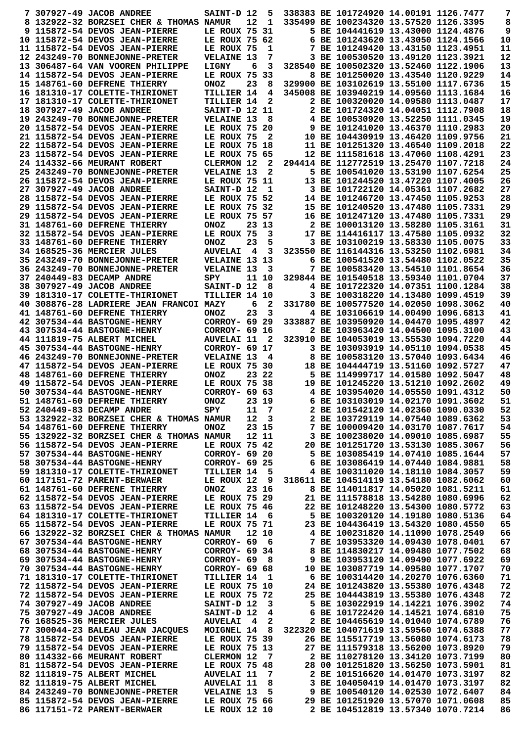|  | 7 307927-49 JACOB ANDREE                                                 | SAINT-D 12                     |                         | 5              |  | 338383 BE 101724920 14.00191 1126.7477                                  |                                        | 7        |
|--|--------------------------------------------------------------------------|--------------------------------|-------------------------|----------------|--|-------------------------------------------------------------------------|----------------------------------------|----------|
|  | 8 132922-32 BORZSEI CHER & THOMAS NAMUR                                  |                                | 12                      | 1              |  | 335499 BE 100234320 13.57520 1126.3395                                  |                                        | 8        |
|  | 9 115872-54 DEVOS JEAN-PIERRE                                            | LE ROUX 75 31                  |                         |                |  | 5 BE 104441619 13.43000 1124.4876                                       |                                        | 9        |
|  | 10 115872-54 DEVOS JEAN-PIERRE                                           | LE ROUX 75 62                  |                         |                |  | 6 BE 101243620 13.43050 1124.1566                                       |                                        | 10       |
|  | 11 115872-54 DEVOS JEAN-PIERRE                                           | LE ROUX 75                     |                         | 1              |  | 7 BE 101249420 13.43150 1123.4951                                       |                                        | 11       |
|  | 12 243249-70 BONNEJONNE-PRETER                                           | <b>VELAINE 13</b>              |                         | 7              |  | 3 BE 100530520 13.49120 1123.3921                                       |                                        | 12       |
|  | 13 306487-64 VAN VOOREN PHILIPPE                                         | LIGNY                          | 6                       | 3              |  | 328540 BE 100502320 13.52460 1122.1906                                  |                                        | 13       |
|  | 14 115872-54 DEVOS JEAN-PIERRE                                           | LE ROUX 75 33                  |                         |                |  | 8 BE 101250020 13.43540 1120.9229                                       |                                        | 14       |
|  | 15 148761-60 DEFRENE THIERRY                                             | <b>ONOZ</b>                    | 23                      | 8              |  | 329900 BE 103102619 13.55100 1117.6736                                  |                                        | 15       |
|  | 16 181310-17 COLETTE-THIRIONET                                           | <b>TILLIER 14</b>              |                         | 4              |  | 345008 BE 103940219 14.09560 1113.1684                                  |                                        | 16       |
|  | 17 181310-17 COLETTE-THIRIONET                                           | TILLIER 14                     |                         | $\mathbf{2}$   |  | 2 BE 100320020 14.09580 1113.0487                                       |                                        | 17       |
|  | 18 307927-49 JACOB ANDREE                                                | <b>SAINT-D 12 11</b>           |                         |                |  | 2 BE 101724320 14.04051 1112.7908                                       |                                        | 18       |
|  | 19 243249-70 BONNEJONNE-PRETER                                           | <b>VELAINE 13</b>              |                         | 8              |  | 4 BE 100530920 13.52250 1111.0345                                       |                                        | 19       |
|  | 20 115872-54 DEVOS JEAN-PIERRE                                           | LE ROUX 75 20<br>LE ROUX 75    |                         |                |  | 9 BE 101241020 13.46370 1110.2983<br>10 BE 104430919 13.46420 1109.9756 |                                        | 20<br>21 |
|  | 21 115872-54 DEVOS JEAN-PIERRE<br>22 115872-54 DEVOS JEAN-PIERRE         | LE ROUX 75 18                  |                         | 2              |  | 11 BE 101251320 13.46540 1109.2018                                      |                                        | 22       |
|  | 23 115872-54 DEVOS JEAN-PIERRE                                           | LE ROUX 75 65                  |                         |                |  | 12 BE 111581618 13.47060 1108.4291                                      |                                        | 23       |
|  | 24 114332-66 MEURANT ROBERT                                              | CLERMON 12                     |                         | 2              |  | 294414 BE 112772519 13.25470 1107.7218                                  |                                        | 24       |
|  | 25 243249-70 BONNEJONNE-PRETER                                           | <b>VELAINE 13</b>              |                         | $\mathbf{2}$   |  | 5 BE 100541020 13.53190 1107.6254                                       |                                        | 25       |
|  | 26 115872-54 DEVOS JEAN-PIERRE                                           | LE ROUX 75 11                  |                         |                |  | 13 BE 101244520 13.47220 1107.4005                                      |                                        | 26       |
|  | 27 307927-49 JACOB ANDREE                                                | SAINT-D 12                     |                         | 1              |  | 3 BE 101722120 14.05361 1107.2682                                       |                                        | 27       |
|  | 28 115872-54 DEVOS JEAN-PIERRE                                           | LE ROUX 75 52                  |                         |                |  | 14 BE 101246720 13.47450 1105.9253                                      |                                        | 28       |
|  | 29 115872-54 DEVOS JEAN-PIERRE                                           | LE ROUX 75 32                  |                         |                |  | 15 BE 101240520 13.47480 1105.7331                                      |                                        | 29       |
|  | 29 115872-54 DEVOS JEAN-PIERRE                                           | LE ROUX 75 57                  |                         |                |  | 16 BE 101247120 13.47480 1105.7331                                      |                                        | 29       |
|  | 31 148761-60 DEFRENE THIERRY                                             | <b>ONOZ</b>                    |                         | 23 13          |  | 2 BE 100013120 13.58280 1105.3161                                       |                                        | 31       |
|  | 32 115872-54 DEVOS JEAN-PIERRE                                           | LE ROUX 75                     |                         | 3              |  | 17 BE 114416117 13.47580 1105.0932                                      |                                        | 32       |
|  | 33 148761-60 DEFRENE THIERRY                                             | <b>ONOZ</b>                    | 23                      | 5              |  | 3 BE 103100219 13.58330 1105.0075                                       |                                        | 33       |
|  | 34 168525-36 MERCIER JULES                                               | <b>AUVELAI</b>                 | $\overline{4}$          | 3              |  | 323550 BE 116144316 13.53250 1102.6981                                  |                                        | 34       |
|  | 35 243249-70 BONNEJONNE-PRETER                                           | VELAINE 13 13                  |                         |                |  | 6 BE 100541520 13.54480 1102.0522                                       |                                        | 35       |
|  | 36 243249-70 BONNEJONNE-PRETER                                           | <b>VELAINE 13</b>              |                         | 3              |  |                                                                         | 7 BE 100583420 13.54510 1101.8654      | 36       |
|  | 37 240449-83 DECAMP ANDRE                                                | SPY                            |                         | 11 10          |  | 329844 BE 101540518 13.59340 1101.0704                                  |                                        | 37       |
|  | 38 307927-49 JACOB ANDREE                                                | SAINT-D 12                     |                         | - 8            |  | 4 BE 101722320 14.07351 1100.1284                                       |                                        | 38       |
|  | 39 181310-17 COLETTE-THIRIONET                                           | <b>TILLIER 14 10</b>           |                         |                |  | 3 BE 100318220 14.13480 1099.4519                                       |                                        | 39       |
|  | 40 308876-28 LADRIERE JEAN FRANCOI MAZY                                  |                                | 6                       | 2              |  | 331780 BE 100577520 14.02050 1098.3062                                  |                                        | 40       |
|  | 41 148761-60 DEFRENE THIERRY                                             | <b>ONOZ</b>                    | 23                      | 3              |  | 4 BE 103106619 14.00490 1096.6813                                       |                                        | 41       |
|  | 42 307534-44 BASTOGNE-HENRY                                              | CORROY- 69 29                  |                         |                |  | 333887 BE 103950920 14.04470 1095.4897                                  |                                        | 42       |
|  | 43 307534-44 BASTOGNE-HENRY                                              | CORROY- 69 16                  |                         |                |  | 2 BE 103963420 14.04500 1095.3100                                       |                                        | 43       |
|  | 44 111819-75 ALBERT MICHEL                                               | <b>AUVELAI 11</b>              |                         | $\mathbf{2}$   |  | 323910 BE 104053019 13.55530 1094.7220                                  |                                        | 44       |
|  | 45 307534-44 BASTOGNE-HENRY                                              | CORROY- 69 17                  |                         |                |  | 3 BE 103093919 14.05110 1094.0538                                       |                                        | 45       |
|  | 46 243249-70 BONNEJONNE-PRETER                                           | <b>VELAINE 13</b>              |                         | 4              |  | 8 BE 100583120 13.57040 1093.6434                                       |                                        | 46       |
|  | 47 115872-54 DEVOS JEAN-PIERRE                                           | LE ROUX 75 30                  |                         |                |  | 18 BE 104444719 13.51160 1092.5727                                      |                                        | 47       |
|  | 48 148761-60 DEFRENE THIERRY                                             | <b>ONOZ</b>                    |                         | 23 22          |  | 5 BE 114999717 14.01580 1092.5047                                       |                                        | 48       |
|  | 49 115872-54 DEVOS JEAN-PIERRE                                           | LE ROUX 75 38                  |                         |                |  | 19 BE 101245220 13.51210 1092.2602                                      |                                        | 49       |
|  | 50 307534-44 BASTOGNE-HENRY                                              | CORROY- 69 63                  |                         |                |  | 4 BE 103954020 14.05550 1091.4312                                       |                                        | 50       |
|  | 51 148761-60 DEFRENE THIERRY                                             | ONOZ                           |                         | 23 19          |  | 6 BE 103103019 14.02170 1091.3602                                       |                                        | 51       |
|  | 52 240449-83 DECAMP ANDRE                                                | SPY                            |                         | 11 7           |  | 2 BE 101542120 14.02360 1090.0330                                       |                                        | 52       |
|  | 53 132922-32 BORZSEI CHER & THOMAS NAMUR                                 |                                |                         | $12 \quad 3$   |  |                                                                         | 2 BE 103729119 14.07540 1089.6362      | 53       |
|  | 54 148761-60 DEFRENE THIERRY<br>55 132922-32 BORZSEI CHER & THOMAS NAMUR | ONOZ                           |                         | 23 15<br>12 11 |  | 7 BE 100009420 14.03170 1087.7617<br>3 BE 100238020 14.09010 1085.6987  |                                        | 54<br>55 |
|  |                                                                          |                                |                         |                |  |                                                                         |                                        |          |
|  |                                                                          |                                |                         |                |  |                                                                         |                                        |          |
|  | 56 115872-54 DEVOS JEAN-PIERRE                                           | LE ROUX 75 42                  |                         |                |  |                                                                         | 20 BE 101251720 13.53130 1085.3067     | 56       |
|  | 57 307534-44 BASTOGNE-HENRY                                              | CORROY- 69 20                  |                         |                |  |                                                                         | 5 BE 103085419 14.07410 1085.1644      | 57       |
|  | 58 307534-44 BASTOGNE-HENRY                                              | CORROY- 69 25                  |                         |                |  | 6 BE 103086419 14.07440 1084.9881                                       |                                        | 58       |
|  | 59 181310-17 COLETTE-THIRIONET                                           | TILLIER 14 5                   |                         |                |  | 4 BE 100311020 14.18110 1084.3057                                       |                                        | 59       |
|  | 60 117151-72 PARENT-BERWAER                                              | LE ROUX 12                     |                         | 9              |  |                                                                         | 318611 BE 104514119 13.54180 1082.6062 | 60       |
|  | 61 148761-60 DEFRENE THIERRY                                             | <b>ONOZ</b>                    |                         | 23 16          |  | 8 BE 114011817 14.05020 1081.5211                                       |                                        | 61       |
|  | 62 115872-54 DEVOS JEAN-PIERRE                                           | LE ROUX 75 29                  |                         |                |  | 21 BE 111578818 13.54280 1080.6996                                      |                                        | 62       |
|  | 63 115872-54 DEVOS JEAN-PIERRE                                           | LE ROUX 75 46                  |                         |                |  |                                                                         | 22 BE 101248220 13.54300 1080.5772     | 63       |
|  | 64 181310-17 COLETTE-THIRIONET<br>65 115872-54 DEVOS JEAN-PIERRE         | TILLIER 14 6<br>LE ROUX 75 71  |                         |                |  | 5 BE 100320120 14.19180 1080.5136                                       |                                        | 64<br>65 |
|  | 66 132922-32 BORZSEI CHER & THOMAS NAMUR                                 |                                |                         | 12 10          |  | 23 BE 104436419 13.54320 1080.4550<br>4 BE 100231820 14.11090 1078.2549 |                                        |          |
|  | 67 307534-44 BASTOGNE-HENRY                                              | $CORROY - 69 6$                |                         |                |  |                                                                         |                                        | 66<br>67 |
|  | 68 307534-44 BASTOGNE-HENRY                                              | CORROY- 69 34                  |                         |                |  | 7 BE 103953320 14.09430 1078.0401                                       | 8 BE 114830217 14.09480 1077.7502      | 68       |
|  | 69 307534-44 BASTOGNE-HENRY                                              | $CORROY - 69 8$                |                         |                |  |                                                                         | 9 BE 103953120 14.09490 1077.6922      | 69       |
|  | 70 307534-44 BASTOGNE-HENRY                                              | CORROY- 69 68                  |                         |                |  | 10 BE 103087719 14.09580 1077.1707                                      |                                        | 70       |
|  | 71 181310-17 COLETTE-THIRIONET                                           | <b>TILLIER 14</b>              |                         | $\mathbf{1}$   |  | 6 BE 100314420 14.20270 1076.6360                                       |                                        | 71       |
|  | 72 115872-54 DEVOS JEAN-PIERRE                                           | LE ROUX 75 10                  |                         |                |  | 24 BE 101243820 13.55380 1076.4348                                      |                                        | 72       |
|  | 72 115872-54 DEVOS JEAN-PIERRE                                           | LE ROUX 75 72                  |                         |                |  | 25 BE 104443819 13.55380 1076.4348                                      |                                        | 72       |
|  | 74 307927-49 JACOB ANDREE                                                | SAINT-D 12                     |                         | 3              |  |                                                                         | 5 BE 103022919 14.14221 1076.3902      | 74       |
|  | 75 307927-49 JACOB ANDREE                                                | SAINT-D 12                     |                         | 4              |  | 6 BE 101722420 14.14521 1074.6810                                       |                                        | 75       |
|  | 76 168525-36 MERCIER JULES                                               | <b>AUVELAI</b>                 | $\overline{\mathbf{4}}$ | 2              |  | 2 BE 104465619 14.01040 1074.6789                                       |                                        | 76       |
|  | 77 300044-23 BALEAU JEAN JACQUES                                         | MOIGNEL 14 8                   |                         |                |  | 322320 BE 104071619 13.59560 1074.6388                                  |                                        | 77       |
|  | 78 115872-54 DEVOS JEAN-PIERRE                                           | LE ROUX 75 39                  |                         |                |  |                                                                         | 26 BE 115517719 13.56080 1074.6173     | 78       |
|  | 79 115872-54 DEVOS JEAN-PIERRE                                           | LE ROUX 75 13                  |                         |                |  | 27 BE 111579318 13.56200 1073.8920                                      |                                        | 79       |
|  | 80 114332-66 MEURANT ROBERT                                              | CLERMON 12                     |                         | $\overline{7}$ |  | 2 BE 110278120 13.34120 1073.7199                                       |                                        | 80       |
|  | 81 115872-54 DEVOS JEAN-PIERRE                                           | LE ROUX 75 48                  |                         |                |  | 28 00 101251820 13.56250 1073.5901                                      |                                        | 81       |
|  | 82 111819-75 ALBERT MICHEL                                               | <b>AUVELAI 11</b>              |                         | 7              |  | 2 BE 101516620 14.01470 1073.3197                                       |                                        | 82       |
|  | 82 111819-75 ALBERT MICHEL                                               | <b>AUVELAI 11</b>              |                         | 8              |  | 3 BE 104050419 14.01470 1073.3197                                       |                                        | 82       |
|  | 84 243249-70 BONNEJONNE-PRETER                                           | <b>VELAINE 13</b>              |                         | - 5            |  | 9 BE 100540120 14.02530 1072.6407                                       |                                        | 84       |
|  | 85 115872-54 DEVOS JEAN-PIERRE<br>86 117151-72 PARENT-BERWAER            | LE ROUX 75 66<br>LE ROUX 12 10 |                         |                |  | 29 BE 101251920 13.57070 1071.0608<br>2 BE 104512819 13.57340 1070.7214 |                                        | 85<br>86 |